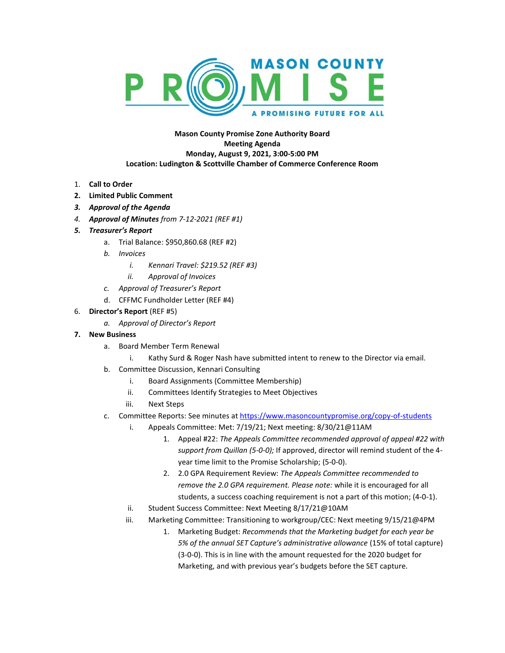

## **Mason County Promise Zone Authority Board Meeting Agenda Monday, August 9, 2021, 3:00-5:00 PM Location: Ludington & Scottville Chamber of Commerce Conference Room**

- 1. **Call to Order**
- **2. Limited Public Comment**
- *3. Approval of the Agenda*
- *4. Approval of Minutes from 7-12-2021 (REF #1)*
- *5. Treasurer's Report*
	- a. Trial Balance: \$950,860.68 (REF #2)
	- *b. Invoices*
		- *i. Kennari Travel: \$219.52 (REF #3)*
		- *ii. Approval of Invoices*
	- *c. Approval of Treasurer's Report*
	- d. CFFMC Fundholder Letter (REF #4)
- 6. **Director's Report** (REF #5)
	- *a. Approval of Director's Report*
- **7. New Business**
	- a. Board Member Term Renewal
		- i. Kathy Surd & Roger Nash have submitted intent to renew to the Director via email.
	- b. Committee Discussion, Kennari Consulting
		- i. Board Assignments (Committee Membership)
		- ii. Committees Identify Strategies to Meet Objectives
		- iii. Next Steps
	- c. Committee Reports: See minutes at <https://www.masoncountypromise.org/copy-of-students>
		- i. Appeals Committee: Met: 7/19/21; Next meeting: 8/30/21@11AM
			- 1. Appeal #22: *The Appeals Committee recommended approval of appeal #22 with support from Quillan (5-0-0);* If approved, director will remind student of the 4 year time limit to the Promise Scholarship; (5-0-0).
			- 2. 2.0 GPA Requirement Review: *The Appeals Committee recommended to remove the 2.0 GPA requirement. Please note:* while it is encouraged for all students, a success coaching requirement is not a part of this motion; (4-0-1).
		- ii. Student Success Committee: Next Meeting 8/17/21@10AM
		- iii. Marketing Committee: Transitioning to workgroup/CEC: Next meeting 9/15/21@4PM
			- 1. Marketing Budget: *Recommends that the Marketing budget for each year be 5% of the annual SET Capture's administrative allowance* (15% of total capture) (3-0-0). This is in line with the amount requested for the 2020 budget for Marketing, and with previous year's budgets before the SET capture.